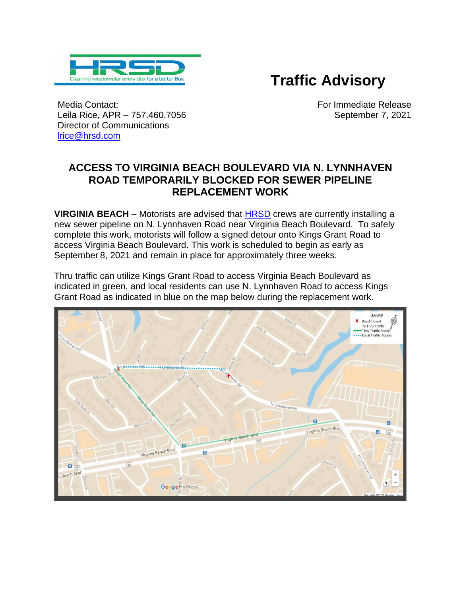

## **Traffic Advisory**

Media Contact: Leila Rice, APR – 757.460.7056 Director of Communications [lrice@hrsd.com](mailto:lrice@hrsd.com) 

 For Immediate Release September 7, 2021

## **ACCESS TO VIRGINIA BEACH BOULEVARD VIA N. LYNNHAVEN ROAD TEMPORARILY BLOCKED FOR SEWER PIPELINE REPLACEMENT WORK**

**VIRGINIA BEACH** – Motorists are advised that [HRSD](http://www.hrsd.com/) crews are currently installing a new sewer pipeline on N. Lynnhaven Road near Virginia Beach Boulevard. To safely complete this work, motorists will follow a signed detour onto Kings Grant Road to access Virginia Beach Boulevard. This work is scheduled to begin as early as September 8, 2021 and remain in place for approximately three weeks.

Thru traffic can utilize Kings Grant Road to access Virginia Beach Boulevard as indicated in green, and local residents can use N. Lynnhaven Road to access Kings Grant Road as indicated in blue on the map below during the replacement work.